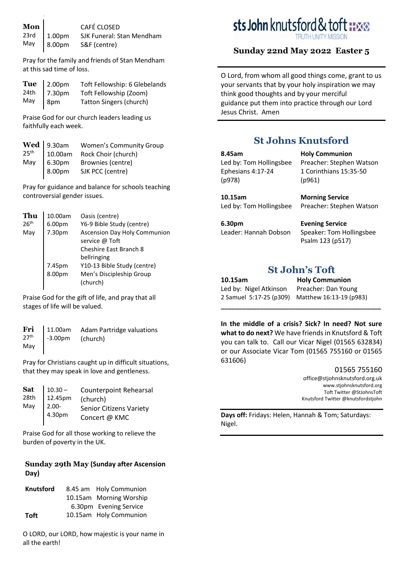|  | <b>Mon</b><br>23rd 1.00pm SJK Funeral: Stan Mendham<br>May 8.00pm S&F (centre) |
|--|--------------------------------------------------------------------------------|
|  |                                                                                |
|  |                                                                                |

Pray for the family and friends of Stan Mendham at this sad time of loss.

|     | <b>Tue</b> 2.00pm<br>24th 7.30pm | Toft Fellowship: 6 Glebelands  |
|-----|----------------------------------|--------------------------------|
|     |                                  | Toft Fellowship (Zoom)         |
| May | $\sqrt{8pm}$                     | <b>Tatton Singers (church)</b> |

Praise God for our church leaders leading us faithfully each week.

|            | <b>Women's Community Group</b>                                                                   |
|------------|--------------------------------------------------------------------------------------------------|
|            | Rock Choir (church)                                                                              |
| May 6.30pm | Brownies (centre)                                                                                |
| 8.00pm     | SJK PCC (centre)                                                                                 |
|            | $\left[\begin{array}{c c} \mathbf{Wed} & 9.30 \text{am} \\ 10.00 \text{am} & \end{array}\right]$ |

Pray for guidance and balance for schools teaching controversial gender issues.

| Thu              | 10.00am          | Oasis (centre)                |
|------------------|------------------|-------------------------------|
| 26 <sup>th</sup> | 6.00pm           | Y6-9 Bible Study (centre)     |
| May              | 7.30pm           | Ascension Day Holy Communion  |
|                  |                  | service @ Toft                |
|                  |                  | <b>Cheshire East Branch 8</b> |
|                  |                  | bellringing                   |
|                  |                  | Y10-13 Bible Study (centre)   |
|                  | 7.45pm<br>8.00pm | Men's Discipleship Group      |
|                  |                  | (church)                      |
|                  |                  |                               |

Praise God for the gift of life, and pray that all stages of life will be valued.

| <b>Fri</b> $\begin{bmatrix} 11.00am & \text{Adam} \\ -3.00pm & (\text{church}) \end{bmatrix}$<br>May |  |  |  |
|------------------------------------------------------------------------------------------------------|--|--|--|
|------------------------------------------------------------------------------------------------------|--|--|--|

Pray for Christians caught up in difficult situations, that they may speak in love and gentleness.

| <b>Sat</b> | $10.30 -$          | <b>Counterpoint Rehearsal</b>                   |  |
|------------|--------------------|-------------------------------------------------|--|
| 28th       | 12.45pm            | (church)                                        |  |
| May        | $  2.00 - 4.30$ pm | <b>Senior Citizens Variety</b><br>Concert @ KMC |  |

Praise God for all those working to relieve the burden of poverty in the UK.

#### **Sunday 29th May (Sunday after Ascension Day)**

| <b>Knutsford</b> | 8.45 am Holy Communion  |
|------------------|-------------------------|
|                  | 10.15am Morning Worship |
|                  | 6.30pm Evening Service  |
| Toft             | 10.15am Holy Communion  |

O LORD, our LORD, how majestic is your name in all the earth!

# sts John knutsford & tof

### **Sunday 22nd May 2022 Easter 5**

O Lord, from whom all good things come, grant to us your servants that by your holy inspiration we may think good thoughts and by your merciful guidance put them into practice through our Lord Jesus Christ. Amen

# **St Johns Knutsford**

#### **8.45am** Led by: Tom Hollingsbee Ephesians 4:17-24 (p978)

**10.15am** Led by: Tom Hollingsbee

**6.30pm** Leader: Hannah Dobson **Holy Communion** Preacher: Stephen Watson 1 Corinthians 15:35-50 (p961)

**Morning Service** Preacher: Stephen Watson

**Evening Service** Speaker: Tom Hollingsbee Psalm 123 (p517)

## **St John's Toft**

**10.15am Holy Communion** Led by: Nigel Atkinson Preacher: Dan Young

2 Samuel 5:17-25 (p309) Matthew 16:13-19 (p983)

**In the middle of a crisis? Sick? In need? Not sure what to do next?** We have friends in Knutsford & Toft you can talk to. Call our Vicar Nigel (01565 632834) or our Associate Vicar Tom (01565 755160 or 01565 631606)

**\_\_\_\_\_\_\_\_\_\_\_\_\_\_\_\_\_\_\_\_\_\_\_\_\_\_\_\_\_\_\_\_\_\_\_\_\_\_\_\_\_\_\_\_\_** 

#### 01565 755160

[office@stjohnsknutsford.org.uk](mailto:office@stjohnsknutsford.org.uk) [www.stjohnsknutsford.org](http://www.stjohnsknutsford.org/) Toft Twitter @StJohnsToft Knutsford Twitter @knutsfordstjohn

**Days off:** Fridays: Helen, Hannah & Tom; Saturdays: Nigel.